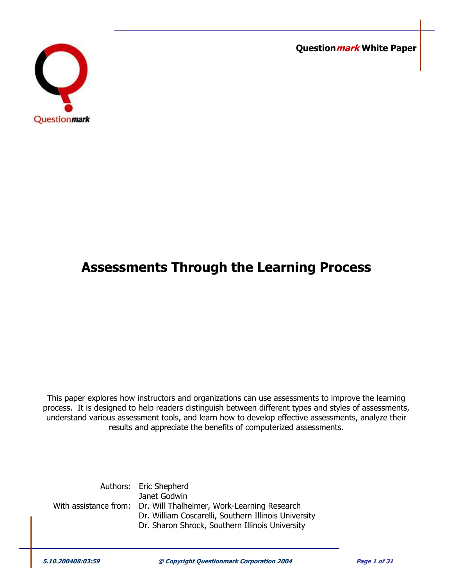**Questionmark White Paper**



# **Assessments Through the Learning Process**

This paper explores how instructors and organizations can use assessments to improve the learning process. It is designed to help readers distinguish between different types and styles of assessments, understand various assessment tools, and learn how to develop effective assessments, analyze their results and appreciate the benefits of computerized assessments.

Authors: Eric Shepherd Janet Godwin With assistance from: Dr. Will Thalheimer, Work-Learning Research Dr. William Coscarelli, Southern Illinois University Dr. Sharon Shrock, Southern Illinois University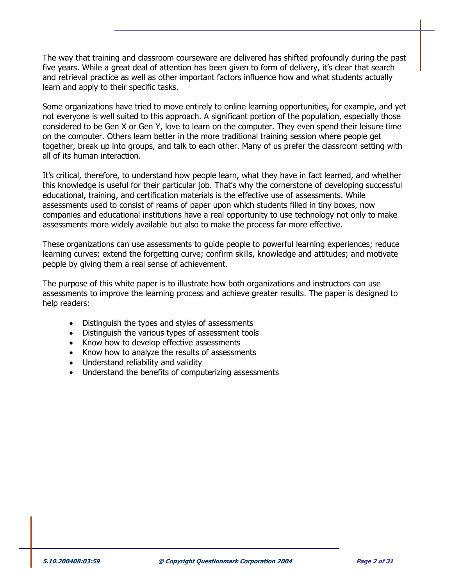The way that training and classroom courseware are delivered has shifted profoundly during the past five years. While a great deal of attention has been given to form of delivery, it's clear that search and retrieval practice as well as other important factors influence how and what students actually learn and apply to their specific tasks.

Some organizations have tried to move entirely to online learning opportunities, for example, and yet not everyone is well suited to this approach. A significant portion of the population, especially those considered to be Gen X or Gen Y, love to learn on the computer. They even spend their leisure time on the computer. Others learn better in the more traditional training session where people get together, break up into groups, and talk to each other. Many of us prefer the classroom setting with all of its human interaction.

It's critical, therefore, to understand how people learn, what they have in fact learned, and whether this knowledge is useful for their particular job. That's why the cornerstone of developing successful educational, training, and certification materials is the effective use of assessments. While assessments used to consist of reams of paper upon which students filled in tiny boxes, now companies and educational institutions have a real opportunity to use technology not only to make assessments more widely available but also to make the process far more effective.

These organizations can use assessments to guide people to powerful learning experiences; reduce learning curves; extend the forgetting curve; confirm skills, knowledge and attitudes; and motivate people by giving them a real sense of achievement.

The purpose of this white paper is to illustrate how both organizations and instructors can use assessments to improve the learning process and achieve greater results. The paper is designed to help readers:

- Distinguish the types and styles of assessments
- Distinguish the various types of assessment tools
- Know how to develop effective assessments
- Know how to analyze the results of assessments
- Understand reliability and validity
- Understand the benefits of computerizing assessments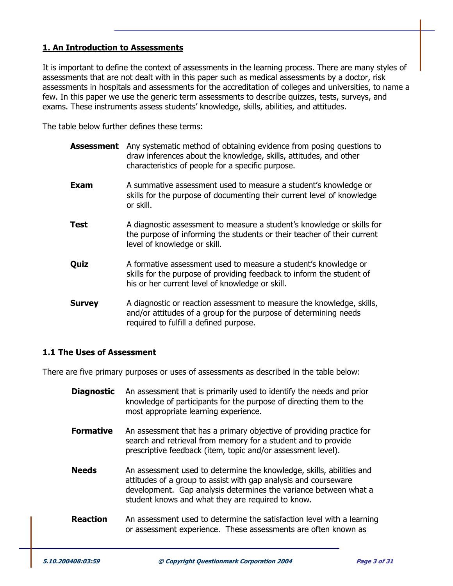## **1. An Introduction to Assessments**

It is important to define the context of assessments in the learning process. There are many styles of assessments that are not dealt with in this paper such as medical assessments by a doctor, risk assessments in hospitals and assessments for the accreditation of colleges and universities, to name a few. In this paper we use the generic term assessments to describe quizzes, tests, surveys, and exams. These instruments assess students' knowledge, skills, abilities, and attitudes.

The table below further defines these terms:

| <b>Assessment</b> | Any systematic method of obtaining evidence from posing questions to<br>draw inferences about the knowledge, skills, attitudes, and other<br>characteristics of people for a specific purpose. |
|-------------------|------------------------------------------------------------------------------------------------------------------------------------------------------------------------------------------------|
| Exam              | A summative assessment used to measure a student's knowledge or<br>skills for the purpose of documenting their current level of knowledge<br>or skill.                                         |
| <b>Test</b>       | A diagnostic assessment to measure a student's knowledge or skills for<br>the purpose of informing the students or their teacher of their current<br>level of knowledge or skill.              |
| Quiz              | A formative assessment used to measure a student's knowledge or<br>skills for the purpose of providing feedback to inform the student of<br>his or her current level of knowledge or skill.    |
| <b>Survey</b>     | A diagnostic or reaction assessment to measure the knowledge, skills,<br>and/or attitudes of a group for the purpose of determining needs<br>required to fulfill a defined purpose.            |

#### **1.1 The Uses of Assessment**

There are five primary purposes or uses of assessments as described in the table below:

| Diagnostic | An assessment that is primarily used to identify the needs and prior |
|------------|----------------------------------------------------------------------|
|            | knowledge of participants for the purpose of directing them to the   |
|            | most appropriate learning experience.                                |

- **Formative** An assessment that has a primary objective of providing practice for search and retrieval from memory for a student and to provide prescriptive feedback (item, topic and/or assessment level).
- **Needs** An assessment used to determine the knowledge, skills, abilities and attitudes of a group to assist with gap analysis and courseware development. Gap analysis determines the variance between what a student knows and what they are required to know.
- **Reaction** An assessment used to determine the satisfaction level with a learning or assessment experience. These assessments are often known as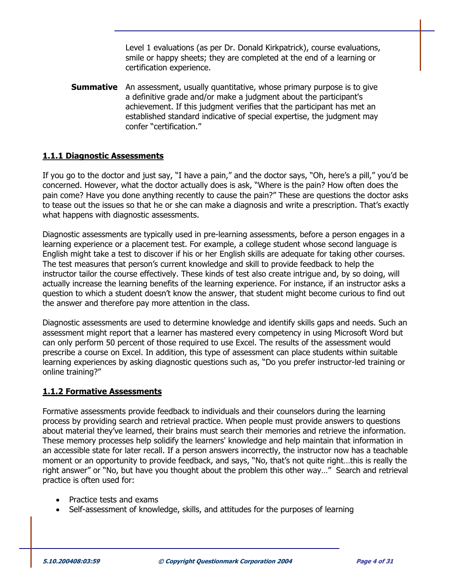Level 1 evaluations (as per Dr. Donald Kirkpatrick), course evaluations, smile or happy sheets; they are completed at the end of a learning or certification experience.

**Summative** An assessment, usually quantitative, whose primary purpose is to give a definitive grade and/or make a judgment about the participant's achievement. If this judgment verifies that the participant has met an established standard indicative of special expertise, the judgment may confer "certification."

#### **1.1.1 Diagnostic Assessments**

If you go to the doctor and just say, "I have a pain," and the doctor says, "Oh, here's a pill," you'd be concerned. However, what the doctor actually does is ask, "Where is the pain? How often does the pain come? Have you done anything recently to cause the pain?" These are questions the doctor asks to tease out the issues so that he or she can make a diagnosis and write a prescription. That's exactly what happens with diagnostic assessments.

Diagnostic assessments are typically used in pre-learning assessments, before a person engages in a learning experience or a placement test. For example, a college student whose second language is English might take a test to discover if his or her English skills are adequate for taking other courses. The test measures that person's current knowledge and skill to provide feedback to help the instructor tailor the course effectively. These kinds of test also create intrigue and, by so doing, will actually increase the learning benefits of the learning experience. For instance, if an instructor asks a question to which a student doesn't know the answer, that student might become curious to find out the answer and therefore pay more attention in the class.

Diagnostic assessments are used to determine knowledge and identify skills gaps and needs. Such an assessment might report that a learner has mastered every competency in using Microsoft Word but can only perform 50 percent of those required to use Excel. The results of the assessment would prescribe a course on Excel. In addition, this type of assessment can place students within suitable learning experiences by asking diagnostic questions such as, "Do you prefer instructor-led training or online training?"

#### **1.1.2 Formative Assessments**

Formative assessments provide feedback to individuals and their counselors during the learning process by providing search and retrieval practice. When people must provide answers to questions about material they've learned, their brains must search their memories and retrieve the information. These memory processes help solidify the learners' knowledge and help maintain that information in an accessible state for later recall. If a person answers incorrectly, the instructor now has a teachable moment or an opportunity to provide feedback, and says, "No, that's not quite right…this is really the right answer" or "No, but have you thought about the problem this other way…" Search and retrieval practice is often used for:

- Practice tests and exams
- Self-assessment of knowledge, skills, and attitudes for the purposes of learning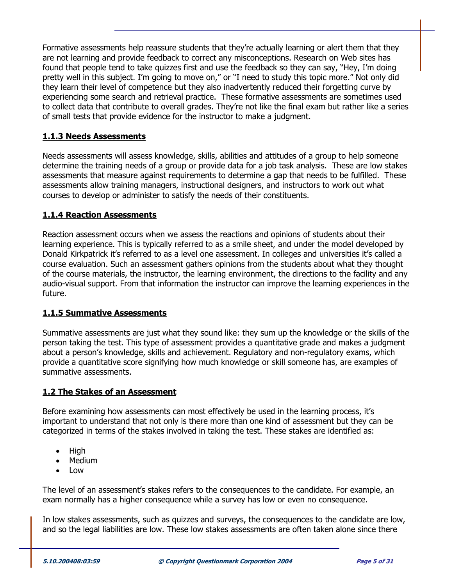Formative assessments help reassure students that they're actually learning or alert them that they are not learning and provide feedback to correct any misconceptions. Research on Web sites has found that people tend to take quizzes first and use the feedback so they can say, "Hey, I'm doing pretty well in this subject. I'm going to move on," or "I need to study this topic more." Not only did they learn their level of competence but they also inadvertently reduced their forgetting curve by experiencing some search and retrieval practice. These formative assessments are sometimes used to collect data that contribute to overall grades. They're not like the final exam but rather like a series of small tests that provide evidence for the instructor to make a judgment.

# **1.1.3 Needs Assessments**

Needs assessments will assess knowledge, skills, abilities and attitudes of a group to help someone determine the training needs of a group or provide data for a job task analysis. These are low stakes assessments that measure against requirements to determine a gap that needs to be fulfilled. These assessments allow training managers, instructional designers, and instructors to work out what courses to develop or administer to satisfy the needs of their constituents.

# **1.1.4 Reaction Assessments**

Reaction assessment occurs when we assess the reactions and opinions of students about their learning experience. This is typically referred to as a smile sheet, and under the model developed by Donald Kirkpatrick it's referred to as a level one assessment. In colleges and universities it's called a course evaluation. Such an assessment gathers opinions from the students about what they thought of the course materials, the instructor, the learning environment, the directions to the facility and any audio-visual support. From that information the instructor can improve the learning experiences in the future.

#### **1.1.5 Summative Assessments**

Summative assessments are just what they sound like: they sum up the knowledge or the skills of the person taking the test. This type of assessment provides a quantitative grade and makes a judgment about a person's knowledge, skills and achievement. Regulatory and non-regulatory exams, which provide a quantitative score signifying how much knowledge or skill someone has, are examples of summative assessments.

#### **1.2 The Stakes of an Assessment**

Before examining how assessments can most effectively be used in the learning process, it's important to understand that not only is there more than one kind of assessment but they can be categorized in terms of the stakes involved in taking the test. These stakes are identified as:

- High
- Medium
- Low

The level of an assessment's stakes refers to the consequences to the candidate. For example, an exam normally has a higher consequence while a survey has low or even no consequence.

In low stakes assessments, such as quizzes and surveys, the consequences to the candidate are low, and so the legal liabilities are low. These low stakes assessments are often taken alone since there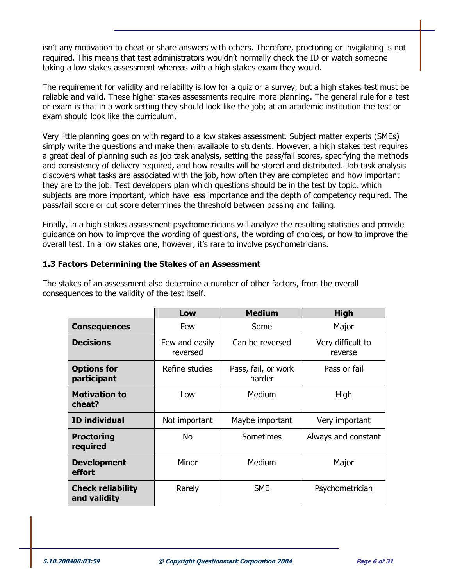isn't any motivation to cheat or share answers with others. Therefore, proctoring or invigilating is not required. This means that test administrators wouldn't normally check the ID or watch someone taking a low stakes assessment whereas with a high stakes exam they would.

The requirement for validity and reliability is low for a quiz or a survey, but a high stakes test must be reliable and valid. These higher stakes assessments require more planning. The general rule for a test or exam is that in a work setting they should look like the job; at an academic institution the test or exam should look like the curriculum.

Very little planning goes on with regard to a low stakes assessment. Subject matter experts (SMEs) simply write the questions and make them available to students. However, a high stakes test requires a great deal of planning such as job task analysis, setting the pass/fail scores, specifying the methods and consistency of delivery required, and how results will be stored and distributed. Job task analysis discovers what tasks are associated with the job, how often they are completed and how important they are to the job. Test developers plan which questions should be in the test by topic, which subjects are more important, which have less importance and the depth of competency required. The pass/fail score or cut score determines the threshold between passing and failing.

Finally, in a high stakes assessment psychometricians will analyze the resulting statistics and provide guidance on how to improve the wording of questions, the wording of choices, or how to improve the overall test. In a low stakes one, however, it's rare to involve psychometricians.

# **1.3 Factors Determining the Stakes of an Assessment**

|                                          | Low                        | <b>Medium</b>                 | <b>High</b>                  |
|------------------------------------------|----------------------------|-------------------------------|------------------------------|
| <b>Consequences</b>                      | Few                        | Some                          | Major                        |
| <b>Decisions</b>                         | Few and easily<br>reversed | Can be reversed               | Very difficult to<br>reverse |
| <b>Options for</b><br>participant        | Refine studies             | Pass, fail, or work<br>harder | Pass or fail                 |
| <b>Motivation to</b><br>cheat?           | Low                        | Medium                        | High                         |
| <b>ID individual</b>                     | Not important              | Maybe important               | Very important               |
| <b>Proctoring</b><br>required            | No.                        | Sometimes                     | Always and constant          |
| <b>Development</b><br>effort             | Minor                      | Medium                        | Major                        |
| <b>Check reliability</b><br>and validity | Rarely                     | <b>SME</b>                    | Psychometrician              |

The stakes of an assessment also determine a number of other factors, from the overall consequences to the validity of the test itself.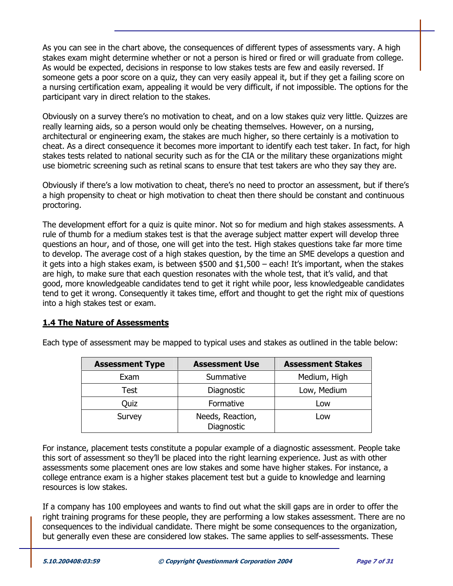As you can see in the chart above, the consequences of different types of assessments vary. A high stakes exam might determine whether or not a person is hired or fired or will graduate from college. As would be expected, decisions in response to low stakes tests are few and easily reversed. If someone gets a poor score on a quiz, they can very easily appeal it, but if they get a failing score on a nursing certification exam, appealing it would be very difficult, if not impossible. The options for the participant vary in direct relation to the stakes.

Obviously on a survey there's no motivation to cheat, and on a low stakes quiz very little. Quizzes are really learning aids, so a person would only be cheating themselves. However, on a nursing, architectural or engineering exam, the stakes are much higher, so there certainly is a motivation to cheat. As a direct consequence it becomes more important to identify each test taker. In fact, for high stakes tests related to national security such as for the CIA or the military these organizations might use biometric screening such as retinal scans to ensure that test takers are who they say they are.

Obviously if there's a low motivation to cheat, there's no need to proctor an assessment, but if there's a high propensity to cheat or high motivation to cheat then there should be constant and continuous proctoring.

The development effort for a quiz is quite minor. Not so for medium and high stakes assessments. A rule of thumb for a medium stakes test is that the average subject matter expert will develop three questions an hour, and of those, one will get into the test. High stakes questions take far more time to develop. The average cost of a high stakes question, by the time an SME develops a question and it gets into a high stakes exam, is between \$500 and \$1,500 – each! It's important, when the stakes are high, to make sure that each question resonates with the whole test, that it's valid, and that good, more knowledgeable candidates tend to get it right while poor, less knowledgeable candidates tend to get it wrong. Consequently it takes time, effort and thought to get the right mix of questions into a high stakes test or exam.

# **1.4 The Nature of Assessments**

| <b>Assessment Type</b> | <b>Assessment Use</b>          | <b>Assessment Stakes</b> |
|------------------------|--------------------------------|--------------------------|
| Exam                   | Summative                      | Medium, High             |
| Test                   | Diagnostic                     | Low, Medium              |
| Quiz                   | Formative                      | Low                      |
| Survey                 | Needs, Reaction,<br>Diagnostic | Low                      |

Each type of assessment may be mapped to typical uses and stakes as outlined in the table below:

For instance, placement tests constitute a popular example of a diagnostic assessment. People take this sort of assessment so they'll be placed into the right learning experience. Just as with other assessments some placement ones are low stakes and some have higher stakes. For instance, a college entrance exam is a higher stakes placement test but a guide to knowledge and learning resources is low stakes.

If a company has 100 employees and wants to find out what the skill gaps are in order to offer the right training programs for these people, they are performing a low stakes assessment. There are no consequences to the individual candidate. There might be some consequences to the organization, but generally even these are considered low stakes. The same applies to self-assessments. These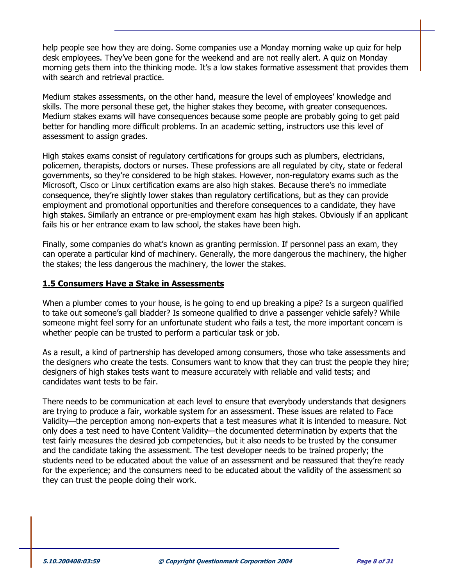help people see how they are doing. Some companies use a Monday morning wake up quiz for help desk employees. They've been gone for the weekend and are not really alert. A quiz on Monday morning gets them into the thinking mode. It's a low stakes formative assessment that provides them with search and retrieval practice.

Medium stakes assessments, on the other hand, measure the level of employees' knowledge and skills. The more personal these get, the higher stakes they become, with greater consequences. Medium stakes exams will have consequences because some people are probably going to get paid better for handling more difficult problems. In an academic setting, instructors use this level of assessment to assign grades.

High stakes exams consist of regulatory certifications for groups such as plumbers, electricians, policemen, therapists, doctors or nurses. These professions are all regulated by city, state or federal governments, so they're considered to be high stakes. However, non-regulatory exams such as the Microsoft, Cisco or Linux certification exams are also high stakes. Because there's no immediate consequence, they're slightly lower stakes than regulatory certifications, but as they can provide employment and promotional opportunities and therefore consequences to a candidate, they have high stakes. Similarly an entrance or pre-employment exam has high stakes. Obviously if an applicant fails his or her entrance exam to law school, the stakes have been high.

Finally, some companies do what's known as granting permission. If personnel pass an exam, they can operate a particular kind of machinery. Generally, the more dangerous the machinery, the higher the stakes; the less dangerous the machinery, the lower the stakes.

# **1.5 Consumers Have a Stake in Assessments**

When a plumber comes to your house, is he going to end up breaking a pipe? Is a surgeon qualified to take out someone's gall bladder? Is someone qualified to drive a passenger vehicle safely? While someone might feel sorry for an unfortunate student who fails a test, the more important concern is whether people can be trusted to perform a particular task or job.

As a result, a kind of partnership has developed among consumers, those who take assessments and the designers who create the tests. Consumers want to know that they can trust the people they hire; designers of high stakes tests want to measure accurately with reliable and valid tests; and candidates want tests to be fair.

There needs to be communication at each level to ensure that everybody understands that designers are trying to produce a fair, workable system for an assessment. These issues are related to Face Validity—the perception among non-experts that a test measures what it is intended to measure. Not only does a test need to have Content Validity—the documented determination by experts that the test fairly measures the desired job competencies, but it also needs to be trusted by the consumer and the candidate taking the assessment. The test developer needs to be trained properly; the students need to be educated about the value of an assessment and be reassured that they're ready for the experience; and the consumers need to be educated about the validity of the assessment so they can trust the people doing their work.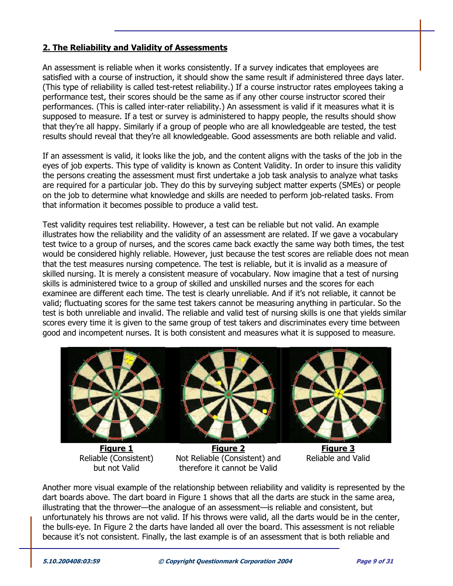# **2. The Reliability and Validity of Assessments**

An assessment is reliable when it works consistently. If a survey indicates that employees are satisfied with a course of instruction, it should show the same result if administered three days later. (This type of reliability is called test-retest reliability.) If a course instructor rates employees taking a performance test, their scores should be the same as if any other course instructor scored their performances. (This is called inter-rater reliability.) An assessment is valid if it measures what it is supposed to measure. If a test or survey is administered to happy people, the results should show that they're all happy. Similarly if a group of people who are all knowledgeable are tested, the test results should reveal that they're all knowledgeable. Good assessments are both reliable and valid.

If an assessment is valid, it looks like the job, and the content aligns with the tasks of the job in the eyes of job experts. This type of validity is known as Content Validity. In order to insure this validity the persons creating the assessment must first undertake a job task analysis to analyze what tasks are required for a particular job. They do this by surveying subject matter experts (SMEs) or people on the job to determine what knowledge and skills are needed to perform job-related tasks. From that information it becomes possible to produce a valid test.

Test validity requires test reliability. However, a test can be reliable but not valid. An example illustrates how the reliability and the validity of an assessment are related. If we gave a vocabulary test twice to a group of nurses, and the scores came back exactly the same way both times, the test would be considered highly reliable. However, just because the test scores are reliable does not mean that the test measures nursing competence. The test is reliable, but it is invalid as a measure of skilled nursing. It is merely a consistent measure of vocabulary. Now imagine that a test of nursing skills is administered twice to a group of skilled and unskilled nurses and the scores for each examinee are different each time. The test is clearly unreliable. And if it's not reliable, it cannot be valid; fluctuating scores for the same test takers cannot be measuring anything in particular. So the test is both unreliable and invalid. The reliable and valid test of nursing skills is one that yields similar scores every time it is given to the same group of test takers and discriminates every time between good and incompetent nurses. It is both consistent and measures what it is supposed to measure.



**Figure 1** Reliable (Consistent) but not Valid

**Figure 2** Not Reliable (Consistent) and therefore it cannot be Valid

**Figure 3** Reliable and Valid

Another more visual example of the relationship between reliability and validity is represented by the dart boards above. The dart board in Figure 1 shows that all the darts are stuck in the same area, illustrating that the thrower—the analogue of an assessment—is reliable and consistent, but unfortunately his throws are not valid. If his throws were valid, all the darts would be in the center, the bulls-eye. In Figure 2 the darts have landed all over the board. This assessment is not reliable because it's not consistent. Finally, the last example is of an assessment that is both reliable and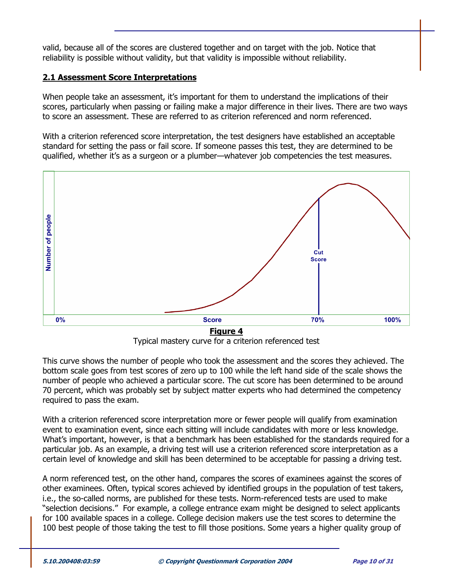valid, because all of the scores are clustered together and on target with the job. Notice that reliability is possible without validity, but that validity is impossible without reliability.

# **2.1 Assessment Score Interpretations**

When people take an assessment, it's important for them to understand the implications of their scores, particularly when passing or failing make a major difference in their lives. There are two ways to score an assessment. These are referred to as criterion referenced and norm referenced.

With a criterion referenced score interpretation, the test designers have established an acceptable standard for setting the pass or fail score. If someone passes this test, they are determined to be qualified, whether it's as a surgeon or a plumber—whatever job competencies the test measures.



Typical mastery curve for a criterion referenced test

This curve shows the number of people who took the assessment and the scores they achieved. The bottom scale goes from test scores of zero up to 100 while the left hand side of the scale shows the number of people who achieved a particular score. The cut score has been determined to be around 70 percent, which was probably set by subject matter experts who had determined the competency required to pass the exam.

With a criterion referenced score interpretation more or fewer people will qualify from examination event to examination event, since each sitting will include candidates with more or less knowledge. What's important, however, is that a benchmark has been established for the standards required for a particular job. As an example, a driving test will use a criterion referenced score interpretation as a certain level of knowledge and skill has been determined to be acceptable for passing a driving test.

A norm referenced test, on the other hand, compares the scores of examinees against the scores of other examinees. Often, typical scores achieved by identified groups in the population of test takers, i.e., the so-called norms, are published for these tests. Norm-referenced tests are used to make "selection decisions." For example, a college entrance exam might be designed to select applicants for 100 available spaces in a college. College decision makers use the test scores to determine the 100 best people of those taking the test to fill those positions. Some years a higher quality group of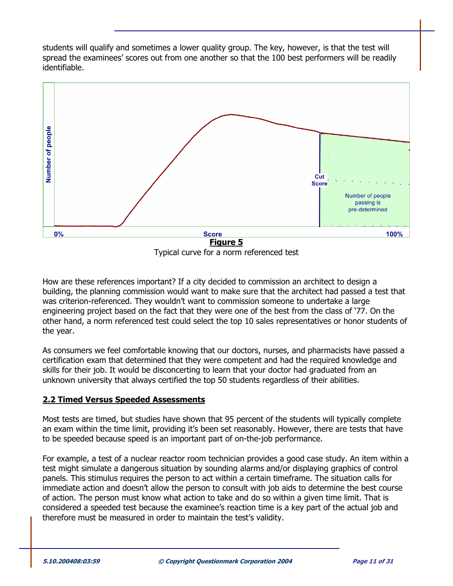students will qualify and sometimes a lower quality group. The key, however, is that the test will spread the examinees' scores out from one another so that the 100 best performers will be readily identifiable.



Typical curve for a norm referenced test

How are these references important? If a city decided to commission an architect to design a building, the planning commission would want to make sure that the architect had passed a test that was criterion-referenced. They wouldn't want to commission someone to undertake a large engineering project based on the fact that they were one of the best from the class of '77. On the other hand, a norm referenced test could select the top 10 sales representatives or honor students of the year.

As consumers we feel comfortable knowing that our doctors, nurses, and pharmacists have passed a certification exam that determined that they were competent and had the required knowledge and skills for their job. It would be disconcerting to learn that your doctor had graduated from an unknown university that always certified the top 50 students regardless of their abilities.

# **2.2 Timed Versus Speeded Assessments**

Most tests are timed, but studies have shown that 95 percent of the students will typically complete an exam within the time limit, providing it's been set reasonably. However, there are tests that have to be speeded because speed is an important part of on-the-job performance.

For example, a test of a nuclear reactor room technician provides a good case study. An item within a test might simulate a dangerous situation by sounding alarms and/or displaying graphics of control panels. This stimulus requires the person to act within a certain timeframe. The situation calls for immediate action and doesn't allow the person to consult with job aids to determine the best course of action. The person must know what action to take and do so within a given time limit. That is considered a speeded test because the examinee's reaction time is a key part of the actual job and therefore must be measured in order to maintain the test's validity.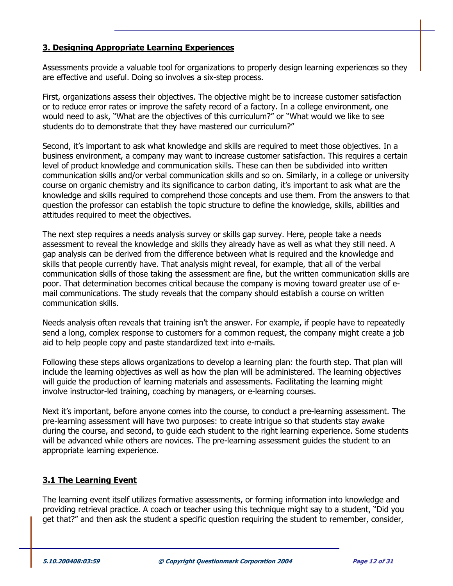## **3. Designing Appropriate Learning Experiences**

Assessments provide a valuable tool for organizations to properly design learning experiences so they are effective and useful. Doing so involves a six-step process.

First, organizations assess their objectives. The objective might be to increase customer satisfaction or to reduce error rates or improve the safety record of a factory. In a college environment, one would need to ask, "What are the objectives of this curriculum?" or "What would we like to see students do to demonstrate that they have mastered our curriculum?"

Second, it's important to ask what knowledge and skills are required to meet those objectives. In a business environment, a company may want to increase customer satisfaction. This requires a certain level of product knowledge and communication skills. These can then be subdivided into written communication skills and/or verbal communication skills and so on. Similarly, in a college or university course on organic chemistry and its significance to carbon dating, it's important to ask what are the knowledge and skills required to comprehend those concepts and use them. From the answers to that question the professor can establish the topic structure to define the knowledge, skills, abilities and attitudes required to meet the objectives.

The next step requires a needs analysis survey or skills gap survey. Here, people take a needs assessment to reveal the knowledge and skills they already have as well as what they still need. A gap analysis can be derived from the difference between what is required and the knowledge and skills that people currently have. That analysis might reveal, for example, that all of the verbal communication skills of those taking the assessment are fine, but the written communication skills are poor. That determination becomes critical because the company is moving toward greater use of email communications. The study reveals that the company should establish a course on written communication skills.

Needs analysis often reveals that training isn't the answer. For example, if people have to repeatedly send a long, complex response to customers for a common request, the company might create a job aid to help people copy and paste standardized text into e-mails.

Following these steps allows organizations to develop a learning plan: the fourth step. That plan will include the learning objectives as well as how the plan will be administered. The learning objectives will guide the production of learning materials and assessments. Facilitating the learning might involve instructor-led training, coaching by managers, or e-learning courses.

Next it's important, before anyone comes into the course, to conduct a pre-learning assessment. The pre-learning assessment will have two purposes: to create intrigue so that students stay awake during the course, and second, to guide each student to the right learning experience. Some students will be advanced while others are novices. The pre-learning assessment guides the student to an appropriate learning experience.

# **3.1 The Learning Event**

The learning event itself utilizes formative assessments, or forming information into knowledge and providing retrieval practice. A coach or teacher using this technique might say to a student, "Did you get that?" and then ask the student a specific question requiring the student to remember, consider,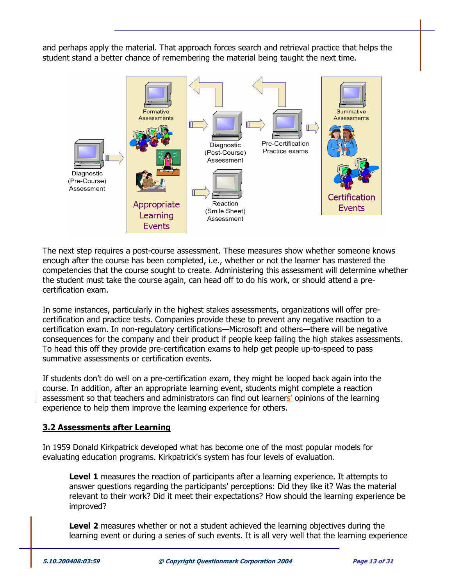and perhaps apply the material. That approach forces search and retrieval practice that helps the student stand a better chance of remembering the material being taught the next time.



The next step requires a post-course assessment. These measures show whether someone knows enough after the course has been completed, i.e., whether or not the learner has mastered the competencies that the course sought to create. Administering this assessment will determine whether the student must take the course again, can head off to do his work, or should attend a precertification exam.

In some instances, particularly in the highest stakes assessments, organizations will offer precertification and practice tests. Companies provide these to prevent any negative reaction to a certification exam. In non-regulatory certifications—Microsoft and others—there will be negative consequences for the company and their product if people keep failing the high stakes assessments. To head this off they provide pre-certification exams to help get people up-to-speed to pass summative assessments or certification events.

If students don't do well on a pre-certification exam, they might be looped back again into the course. In addition, after an appropriate learning event, students might complete a reaction assessment so that teachers and administrators can find out learners' opinions of the learning experience to help them improve the learning experience for others.

# **3.2 Assessments after Learning**

In 1959 Donald Kirkpatrick developed what has become one of the most popular models for evaluating education programs. Kirkpatrick's system has four levels of evaluation.

Level 1 measures the reaction of participants after a learning experience. It attempts to answer questions regarding the participants' perceptions: Did they like it? Was the material relevant to their work? Did it meet their expectations? How should the learning experience be improved?

**Level 2** measures whether or not a student achieved the learning objectives during the learning event or during a series of such events. It is all very well that the learning experience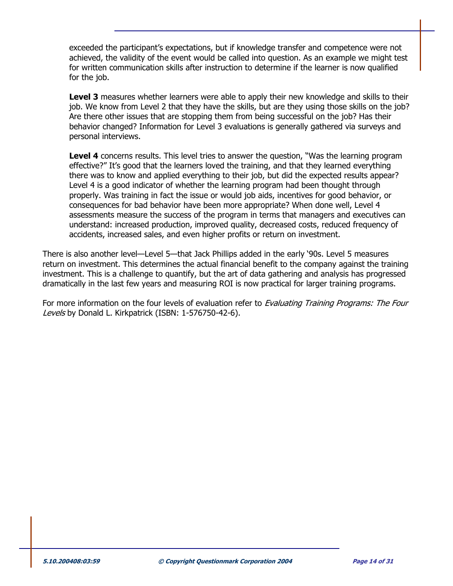exceeded the participant's expectations, but if knowledge transfer and competence were not achieved, the validity of the event would be called into question. As an example we might test for written communication skills after instruction to determine if the learner is now qualified for the job.

**Level 3** measures whether learners were able to apply their new knowledge and skills to their job. We know from Level 2 that they have the skills, but are they using those skills on the job? Are there other issues that are stopping them from being successful on the job? Has their behavior changed? Information for Level 3 evaluations is generally gathered via surveys and personal interviews.

**Level 4** concerns results. This level tries to answer the question, "Was the learning program effective?" It's good that the learners loved the training, and that they learned everything there was to know and applied everything to their job, but did the expected results appear? Level 4 is a good indicator of whether the learning program had been thought through properly. Was training in fact the issue or would job aids, incentives for good behavior, or consequences for bad behavior have been more appropriate? When done well, Level 4 assessments measure the success of the program in terms that managers and executives can understand: increased production, improved quality, decreased costs, reduced frequency of accidents, increased sales, and even higher profits or return on investment.

There is also another level—Level 5—that Jack Phillips added in the early '90s. Level 5 measures return on investment. This determines the actual financial benefit to the company against the training investment. This is a challenge to quantify, but the art of data gathering and analysis has progressed dramatically in the last few years and measuring ROI is now practical for larger training programs.

For more information on the four levels of evaluation refer to *Evaluating Training Programs: The Four* Levels by Donald L. Kirkpatrick (ISBN: 1-576750-42-6).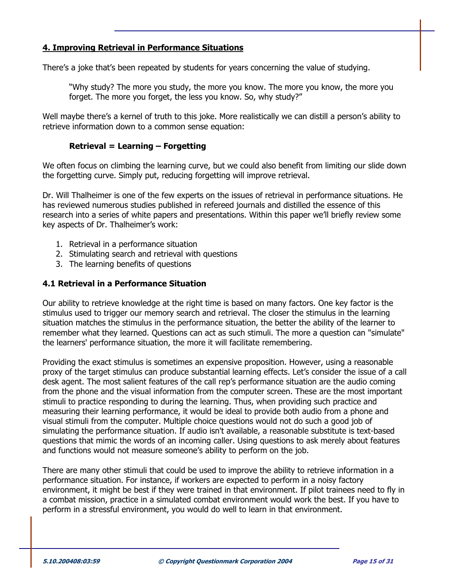# **4. Improving Retrieval in Performance Situations**

There's a joke that's been repeated by students for years concerning the value of studying.

"Why study? The more you study, the more you know. The more you know, the more you forget. The more you forget, the less you know. So, why study?"

Well maybe there's a kernel of truth to this joke. More realistically we can distill a person's ability to retrieve information down to a common sense equation:

#### **Retrieval = Learning – Forgetting**

We often focus on climbing the learning curve, but we could also benefit from limiting our slide down the forgetting curve. Simply put, reducing forgetting will improve retrieval.

Dr. Will Thalheimer is one of the few experts on the issues of retrieval in performance situations. He has reviewed numerous studies published in refereed journals and distilled the essence of this research into a series of white papers and presentations. Within this paper we'll briefly review some key aspects of Dr. Thalheimer's work:

- 1. Retrieval in a performance situation
- 2. Stimulating search and retrieval with questions
- 3. The learning benefits of questions

#### **4.1 Retrieval in a Performance Situation**

Our ability to retrieve knowledge at the right time is based on many factors. One key factor is the stimulus used to trigger our memory search and retrieval. The closer the stimulus in the learning situation matches the stimulus in the performance situation, the better the ability of the learner to remember what they learned. Questions can act as such stimuli. The more a question can "simulate" the learners' performance situation, the more it will facilitate remembering.

Providing the exact stimulus is sometimes an expensive proposition. However, using a reasonable proxy of the target stimulus can produce substantial learning effects. Let's consider the issue of a call desk agent. The most salient features of the call rep's performance situation are the audio coming from the phone and the visual information from the computer screen. These are the most important stimuli to practice responding to during the learning. Thus, when providing such practice and measuring their learning performance, it would be ideal to provide both audio from a phone and visual stimuli from the computer. Multiple choice questions would not do such a good job of simulating the performance situation. If audio isn't available, a reasonable substitute is text-based questions that mimic the words of an incoming caller. Using questions to ask merely about features and functions would not measure someone's ability to perform on the job.

There are many other stimuli that could be used to improve the ability to retrieve information in a performance situation. For instance, if workers are expected to perform in a noisy factory environment, it might be best if they were trained in that environment. If pilot trainees need to fly in a combat mission, practice in a simulated combat environment would work the best. If you have to perform in a stressful environment, you would do well to learn in that environment.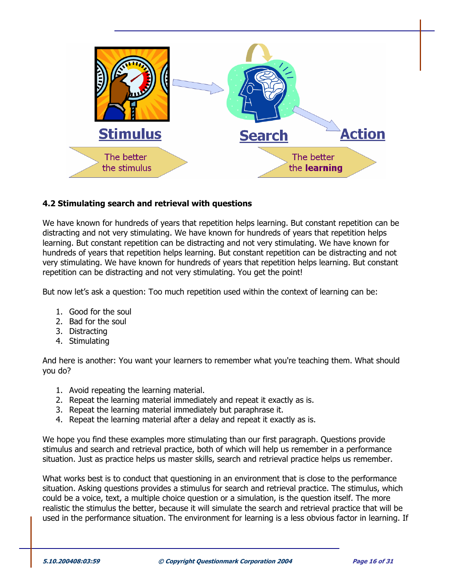

# **4.2 Stimulating search and retrieval with questions**

We have known for hundreds of years that repetition helps learning. But constant repetition can be distracting and not very stimulating. We have known for hundreds of years that repetition helps learning. But constant repetition can be distracting and not very stimulating. We have known for hundreds of years that repetition helps learning. But constant repetition can be distracting and not very stimulating. We have known for hundreds of years that repetition helps learning. But constant repetition can be distracting and not very stimulating. You get the point!

But now let's ask a question: Too much repetition used within the context of learning can be:

- 1. Good for the soul
- 2. Bad for the soul
- 3. Distracting
- 4. Stimulating

And here is another: You want your learners to remember what you're teaching them. What should you do?

- 1. Avoid repeating the learning material.
- 2. Repeat the learning material immediately and repeat it exactly as is.
- 3. Repeat the learning material immediately but paraphrase it.
- 4. Repeat the learning material after a delay and repeat it exactly as is.

We hope you find these examples more stimulating than our first paragraph. Questions provide stimulus and search and retrieval practice, both of which will help us remember in a performance situation. Just as practice helps us master skills, search and retrieval practice helps us remember.

What works best is to conduct that questioning in an environment that is close to the performance situation. Asking questions provides a stimulus for search and retrieval practice. The stimulus, which could be a voice, text, a multiple choice question or a simulation, is the question itself. The more realistic the stimulus the better, because it will simulate the search and retrieval practice that will be used in the performance situation. The environment for learning is a less obvious factor in learning. If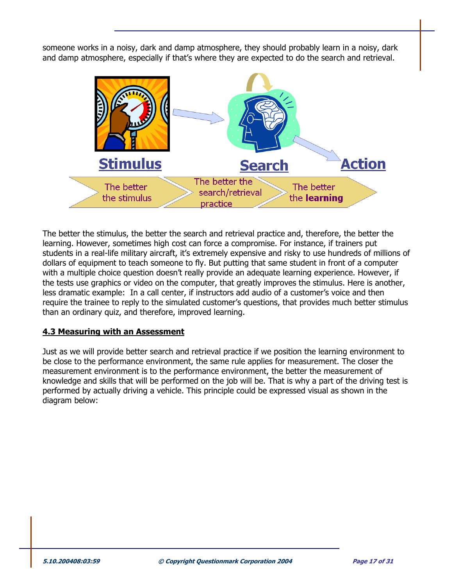someone works in a noisy, dark and damp atmosphere, they should probably learn in a noisy, dark and damp atmosphere, especially if that's where they are expected to do the search and retrieval.



The better the stimulus, the better the search and retrieval practice and, therefore, the better the learning. However, sometimes high cost can force a compromise. For instance, if trainers put students in a real-life military aircraft, it's extremely expensive and risky to use hundreds of millions of dollars of equipment to teach someone to fly. But putting that same student in front of a computer with a multiple choice question doesn't really provide an adequate learning experience. However, if the tests use graphics or video on the computer, that greatly improves the stimulus. Here is another, less dramatic example: In a call center, if instructors add audio of a customer's voice and then require the trainee to reply to the simulated customer's questions, that provides much better stimulus than an ordinary quiz, and therefore, improved learning.

# **4.3 Measuring with an Assessment**

Just as we will provide better search and retrieval practice if we position the learning environment to be close to the performance environment, the same rule applies for measurement. The closer the measurement environment is to the performance environment, the better the measurement of knowledge and skills that will be performed on the job will be. That is why a part of the driving test is performed by actually driving a vehicle. This principle could be expressed visual as shown in the diagram below: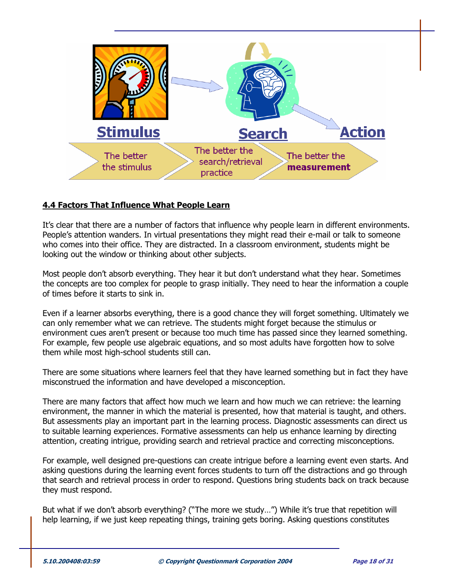![](_page_17_Figure_0.jpeg)

# **4.4 Factors That Influence What People Learn**

It's clear that there are a number of factors that influence why people learn in different environments. People's attention wanders. In virtual presentations they might read their e-mail or talk to someone who comes into their office. They are distracted. In a classroom environment, students might be looking out the window or thinking about other subjects.

Most people don't absorb everything. They hear it but don't understand what they hear. Sometimes the concepts are too complex for people to grasp initially. They need to hear the information a couple of times before it starts to sink in.

Even if a learner absorbs everything, there is a good chance they will forget something. Ultimately we can only remember what we can retrieve. The students might forget because the stimulus or environment cues aren't present or because too much time has passed since they learned something. For example, few people use algebraic equations, and so most adults have forgotten how to solve them while most high-school students still can.

There are some situations where learners feel that they have learned something but in fact they have misconstrued the information and have developed a misconception.

There are many factors that affect how much we learn and how much we can retrieve: the learning environment, the manner in which the material is presented, how that material is taught, and others. But assessments play an important part in the learning process. Diagnostic assessments can direct us to suitable learning experiences. Formative assessments can help us enhance learning by directing attention, creating intrigue, providing search and retrieval practice and correcting misconceptions.

For example, well designed pre-questions can create intrigue before a learning event even starts. And asking questions during the learning event forces students to turn off the distractions and go through that search and retrieval process in order to respond. Questions bring students back on track because they must respond.

But what if we don't absorb everything? ("The more we study…") While it's true that repetition will help learning, if we just keep repeating things, training gets boring. Asking questions constitutes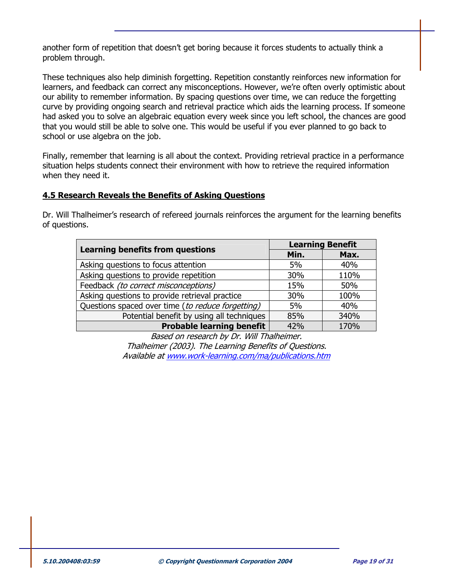another form of repetition that doesn't get boring because it forces students to actually think a problem through.

These techniques also help diminish forgetting. Repetition constantly reinforces new information for learners, and feedback can correct any misconceptions. However, we're often overly optimistic about our ability to remember information. By spacing questions over time, we can reduce the forgetting curve by providing ongoing search and retrieval practice which aids the learning process. If someone had asked you to solve an algebraic equation every week since you left school, the chances are good that you would still be able to solve one. This would be useful if you ever planned to go back to school or use algebra on the job.

Finally, remember that learning is all about the context. Providing retrieval practice in a performance situation helps students connect their environment with how to retrieve the required information when they need it.

# **4.5 Research Reveals the Benefits of Asking Questions**

Dr. Will Thalheimer's research of refereed journals reinforces the argument for the learning benefits of questions.

| <b>Learning benefits from questions</b>           | <b>Learning Benefit</b> |      |  |
|---------------------------------------------------|-------------------------|------|--|
|                                                   | Min.                    | Max. |  |
| Asking questions to focus attention               | 5%                      | 40%  |  |
| Asking questions to provide repetition            | 30%                     | 110% |  |
| Feedback (to correct misconceptions)              | 15%                     | 50%  |  |
| Asking questions to provide retrieval practice    | 30%                     | 100% |  |
| Questions spaced over time (to reduce forgetting) | 5%                      | 40%  |  |
| Potential benefit by using all techniques         | 85%                     | 340% |  |
| <b>Probable learning benefit</b>                  | 42%                     | 170% |  |

Based on research by Dr. Will Thalheimer. Thalheimer (2003). The Learning Benefits of Questions. Available at www.work-learning.com/ma/publications.htm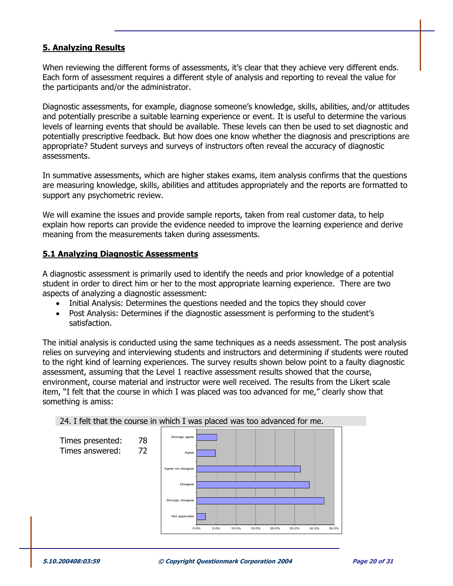## **5. Analyzing Results**

When reviewing the different forms of assessments, it's clear that they achieve very different ends. Each form of assessment requires a different style of analysis and reporting to reveal the value for the participants and/or the administrator.

Diagnostic assessments, for example, diagnose someone's knowledge, skills, abilities, and/or attitudes and potentially prescribe a suitable learning experience or event. It is useful to determine the various levels of learning events that should be available. These levels can then be used to set diagnostic and potentially prescriptive feedback. But how does one know whether the diagnosis and prescriptions are appropriate? Student surveys and surveys of instructors often reveal the accuracy of diagnostic assessments.

In summative assessments, which are higher stakes exams, item analysis confirms that the questions are measuring knowledge, skills, abilities and attitudes appropriately and the reports are formatted to support any psychometric review.

We will examine the issues and provide sample reports, taken from real customer data, to help explain how reports can provide the evidence needed to improve the learning experience and derive meaning from the measurements taken during assessments.

# **5.1 Analyzing Diagnostic Assessments**

A diagnostic assessment is primarily used to identify the needs and prior knowledge of a potential student in order to direct him or her to the most appropriate learning experience. There are two aspects of analyzing a diagnostic assessment:

- Initial Analysis: Determines the questions needed and the topics they should cover
- Post Analysis: Determines if the diagnostic assessment is performing to the student's satisfaction.

The initial analysis is conducted using the same techniques as a needs assessment. The post analysis relies on surveying and interviewing students and instructors and determining if students were routed to the right kind of learning experiences. The survey results shown below point to a faulty diagnostic assessment, assuming that the Level 1 reactive assessment results showed that the course, environment, course material and instructor were well received. The results from the Likert scale item, "I felt that the course in which I was placed was too advanced for me," clearly show that something is amiss:

24. I felt that the course in which I was placed was too advanced for me.

![](_page_19_Figure_11.jpeg)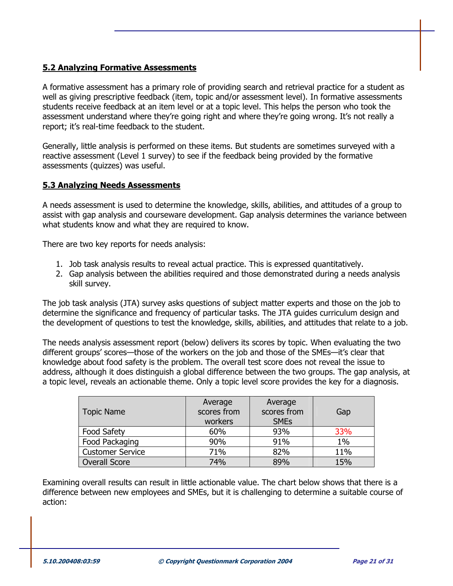# **5.2 Analyzing Formative Assessments**

A formative assessment has a primary role of providing search and retrieval practice for a student as well as giving prescriptive feedback (item, topic and/or assessment level). In formative assessments students receive feedback at an item level or at a topic level. This helps the person who took the assessment understand where they're going right and where they're going wrong. It's not really a report; it's real-time feedback to the student.

Generally, little analysis is performed on these items. But students are sometimes surveyed with a reactive assessment (Level 1 survey) to see if the feedback being provided by the formative assessments (quizzes) was useful.

# **5.3 Analyzing Needs Assessments**

A needs assessment is used to determine the knowledge, skills, abilities, and attitudes of a group to assist with gap analysis and courseware development. Gap analysis determines the variance between what students know and what they are required to know.

There are two key reports for needs analysis:

- 1. Job task analysis results to reveal actual practice. This is expressed quantitatively.
- 2. Gap analysis between the abilities required and those demonstrated during a needs analysis skill survey.

The job task analysis (JTA) survey asks questions of subject matter experts and those on the job to determine the significance and frequency of particular tasks. The JTA guides curriculum design and the development of questions to test the knowledge, skills, abilities, and attitudes that relate to a job.

The needs analysis assessment report (below) delivers its scores by topic. When evaluating the two different groups' scores—those of the workers on the job and those of the SMEs—it's clear that knowledge about food safety is the problem. The overall test score does not reveal the issue to address, although it does distinguish a global difference between the two groups. The gap analysis, at a topic level, reveals an actionable theme. Only a topic level score provides the key for a diagnosis.

| <b>Topic Name</b>       | Average<br>scores from | Average<br>scores from | Gap   |
|-------------------------|------------------------|------------------------|-------|
|                         | workers                | <b>SMEs</b>            |       |
| Food Safety             | 60%                    | 93%                    | 33%   |
| Food Packaging          | 90%                    | 91%                    | $1\%$ |
| <b>Customer Service</b> | 71%                    | 82%                    | 11%   |
| <b>Overall Score</b>    | 74%                    | 89%                    | 15%   |

Examining overall results can result in little actionable value. The chart below shows that there is a difference between new employees and SMEs, but it is challenging to determine a suitable course of action: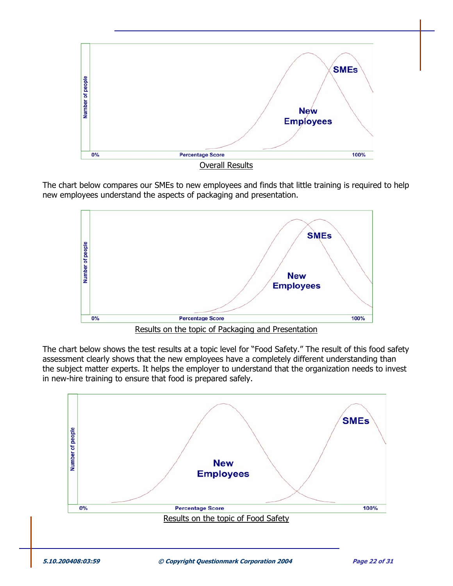![](_page_21_Figure_0.jpeg)

The chart below compares our SMEs to new employees and finds that little training is required to help new employees understand the aspects of packaging and presentation.

![](_page_21_Figure_2.jpeg)

The chart below shows the test results at a topic level for "Food Safety." The result of this food safety assessment clearly shows that the new employees have a completely different understanding than the subject matter experts. It helps the employer to understand that the organization needs to invest in new-hire training to ensure that food is prepared safely.

![](_page_21_Figure_4.jpeg)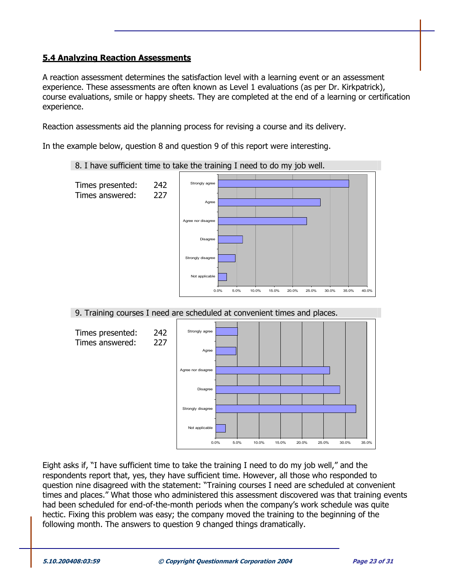# **5.4 Analyzing Reaction Assessments**

A reaction assessment determines the satisfaction level with a learning event or an assessment experience. These assessments are often known as Level 1 evaluations (as per Dr. Kirkpatrick), course evaluations, smile or happy sheets. They are completed at the end of a learning or certification experience.

Reaction assessments aid the planning process for revising a course and its delivery.

In the example below, question 8 and question 9 of this report were interesting.

![](_page_22_Figure_4.jpeg)

9. Training courses I need are scheduled at convenient times and places.

![](_page_22_Figure_6.jpeg)

Eight asks if, "I have sufficient time to take the training I need to do my job well," and the respondents report that, yes, they have sufficient time. However, all those who responded to question nine disagreed with the statement: "Training courses I need are scheduled at convenient times and places." What those who administered this assessment discovered was that training events had been scheduled for end-of-the-month periods when the company's work schedule was quite hectic. Fixing this problem was easy; the company moved the training to the beginning of the following month. The answers to question 9 changed things dramatically.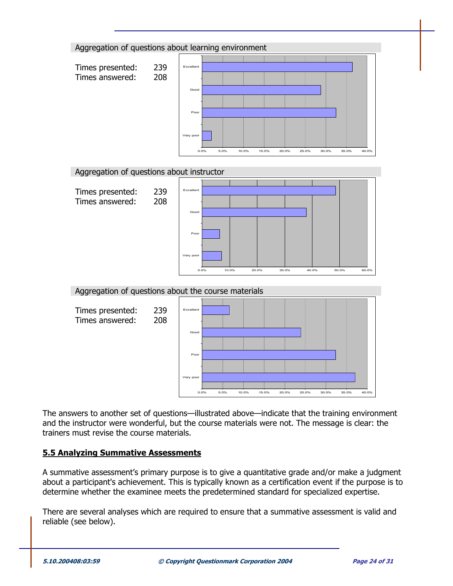![](_page_23_Figure_0.jpeg)

#### Aggregation of questions about instructor

![](_page_23_Figure_2.jpeg)

The answers to another set of questions—illustrated above—indicate that the training environment and the instructor were wonderful, but the course materials were not. The message is clear: the trainers must revise the course materials.

#### **5.5 Analyzing Summative Assessments**

A summative assessment's primary purpose is to give a quantitative grade and/or make a judgment about a participant's achievement. This is typically known as a certification event if the purpose is to determine whether the examinee meets the predetermined standard for specialized expertise.

There are several analyses which are required to ensure that a summative assessment is valid and reliable (see below).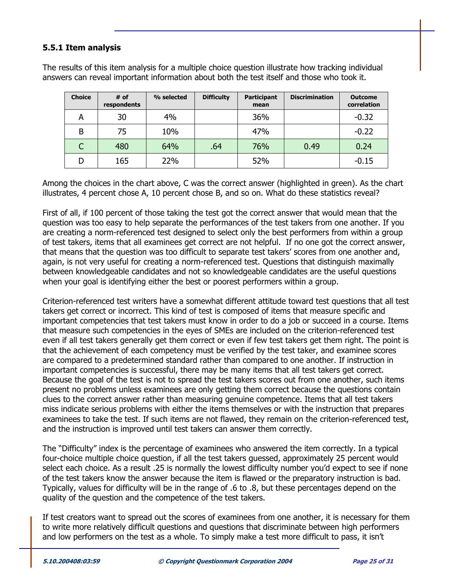# **5.5.1 Item analysis**

The results of this item analysis for a multiple choice question illustrate how tracking individual answers can reveal important information about both the test itself and those who took it.

| <b>Choice</b> | # of<br>respondents | % selected | <b>Difficulty</b> | <b>Participant</b><br>mean | <b>Discrimination</b> | <b>Outcome</b><br>correlation |
|---------------|---------------------|------------|-------------------|----------------------------|-----------------------|-------------------------------|
| А             | 30                  | 4%         |                   | 36%                        |                       | $-0.32$                       |
| B             | 75                  | 10%        |                   | 47%                        |                       | $-0.22$                       |
| C             | 480                 | 64%        | .64               | 76%                        | 0.49                  | 0.24                          |
| D             | 165                 | 22%        |                   | 52%                        |                       | $-0.15$                       |

Among the choices in the chart above, C was the correct answer (highlighted in green). As the chart illustrates, 4 percent chose A, 10 percent chose B, and so on. What do these statistics reveal?

First of all, if 100 percent of those taking the test got the correct answer that would mean that the question was too easy to help separate the performances of the test takers from one another. If you are creating a norm-referenced test designed to select only the best performers from within a group of test takers, items that all examinees get correct are not helpful. If no one got the correct answer, that means that the question was too difficult to separate test takers' scores from one another and, again, is not very useful for creating a norm-referenced test. Questions that distinguish maximally between knowledgeable candidates and not so knowledgeable candidates are the useful questions when your goal is identifying either the best or poorest performers within a group.

Criterion-referenced test writers have a somewhat different attitude toward test questions that all test takers get correct or incorrect. This kind of test is composed of items that measure specific and important competencies that test takers must know in order to do a job or succeed in a course. Items that measure such competencies in the eyes of SMEs are included on the criterion-referenced test even if all test takers generally get them correct or even if few test takers get them right. The point is that the achievement of each competency must be verified by the test taker, and examinee scores are compared to a predetermined standard rather than compared to one another. If instruction in important competencies is successful, there may be many items that all test takers get correct. Because the goal of the test is not to spread the test takers scores out from one another, such items present no problems unless examinees are only getting them correct because the questions contain clues to the correct answer rather than measuring genuine competence. Items that all test takers miss indicate serious problems with either the items themselves or with the instruction that prepares examinees to take the test. If such items are not flawed, they remain on the criterion-referenced test, and the instruction is improved until test takers can answer them correctly.

The "Difficulty" index is the percentage of examinees who answered the item correctly. In a typical four-choice multiple choice question, if all the test takers guessed, approximately 25 percent would select each choice. As a result .25 is normally the lowest difficulty number you'd expect to see if none of the test takers know the answer because the item is flawed or the preparatory instruction is bad. Typically, values for difficulty will be in the range of .6 to .8, but these percentages depend on the quality of the question and the competence of the test takers.

If test creators want to spread out the scores of examinees from one another, it is necessary for them to write more relatively difficult questions and questions that discriminate between high performers and low performers on the test as a whole. To simply make a test more difficult to pass, it isn't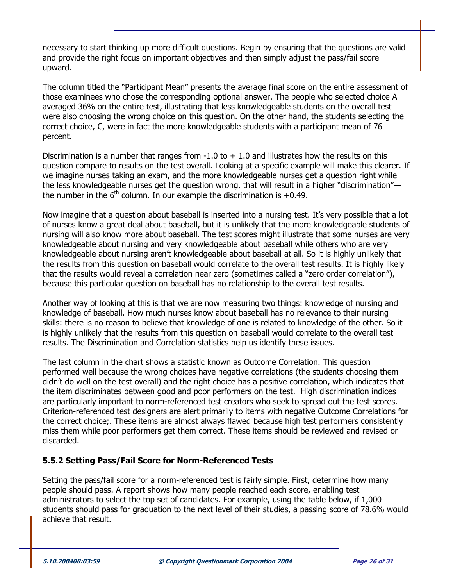necessary to start thinking up more difficult questions. Begin by ensuring that the questions are valid and provide the right focus on important objectives and then simply adjust the pass/fail score upward.

The column titled the "Participant Mean" presents the average final score on the entire assessment of those examinees who chose the corresponding optional answer. The people who selected choice A averaged 36% on the entire test, illustrating that less knowledgeable students on the overall test were also choosing the wrong choice on this question. On the other hand, the students selecting the correct choice, C, were in fact the more knowledgeable students with a participant mean of 76 percent.

Discrimination is a number that ranges from  $-1.0$  to  $+1.0$  and illustrates how the results on this question compare to results on the test overall. Looking at a specific example will make this clearer. If we imagine nurses taking an exam, and the more knowledgeable nurses get a question right while the less knowledgeable nurses get the question wrong, that will result in a higher "discrimination" the number in the  $6<sup>th</sup>$  column. In our example the discrimination is +0.49.

Now imagine that a question about baseball is inserted into a nursing test. It's very possible that a lot of nurses know a great deal about baseball, but it is unlikely that the more knowledgeable students of nursing will also know more about baseball. The test scores might illustrate that some nurses are very knowledgeable about nursing and very knowledgeable about baseball while others who are very knowledgeable about nursing aren't knowledgeable about baseball at all. So it is highly unlikely that the results from this question on baseball would correlate to the overall test results. It is highly likely that the results would reveal a correlation near zero (sometimes called a "zero order correlation"), because this particular question on baseball has no relationship to the overall test results.

Another way of looking at this is that we are now measuring two things: knowledge of nursing and knowledge of baseball. How much nurses know about baseball has no relevance to their nursing skills: there is no reason to believe that knowledge of one is related to knowledge of the other. So it is highly unlikely that the results from this question on baseball would correlate to the overall test results. The Discrimination and Correlation statistics help us identify these issues.

The last column in the chart shows a statistic known as Outcome Correlation. This question performed well because the wrong choices have negative correlations (the students choosing them didn't do well on the test overall) and the right choice has a positive correlation, which indicates that the item discriminates between good and poor performers on the test. High discrimination indices are particularly important to norm-referenced test creators who seek to spread out the test scores. Criterion-referenced test designers are alert primarily to items with negative Outcome Correlations for the correct choice;. These items are almost always flawed because high test performers consistently miss them while poor performers get them correct. These items should be reviewed and revised or discarded.

# **5.5.2 Setting Pass/Fail Score for Norm-Referenced Tests**

Setting the pass/fail score for a norm-referenced test is fairly simple. First, determine how many people should pass. A report shows how many people reached each score, enabling test administrators to select the top set of candidates. For example, using the table below, if 1,000 students should pass for graduation to the next level of their studies, a passing score of 78.6% would achieve that result.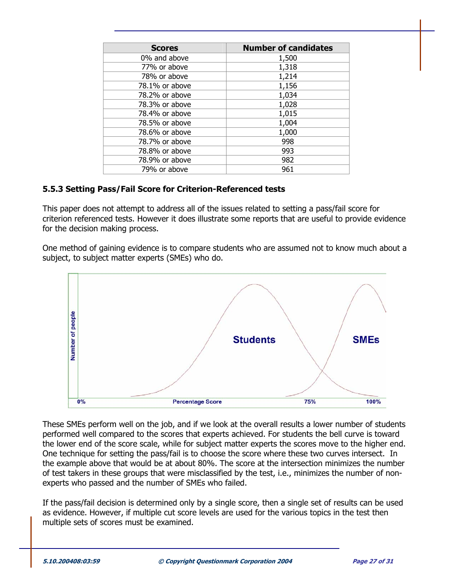| <b>Scores</b>  | <b>Number of candidates</b> |
|----------------|-----------------------------|
|                |                             |
| 0% and above   | 1,500                       |
| 77% or above   | 1,318                       |
| 78% or above   | 1,214                       |
| 78.1% or above | 1,156                       |
| 78.2% or above | 1,034                       |
| 78.3% or above | 1,028                       |
| 78.4% or above | 1,015                       |
| 78.5% or above | 1,004                       |
| 78.6% or above | 1,000                       |
| 78.7% or above | 998                         |
| 78.8% or above | 993                         |
| 78.9% or above | 982                         |
| 79% or above   | 961                         |

# **5.5.3 Setting Pass/Fail Score for Criterion-Referenced tests**

This paper does not attempt to address all of the issues related to setting a pass/fail score for criterion referenced tests. However it does illustrate some reports that are useful to provide evidence for the decision making process.

One method of gaining evidence is to compare students who are assumed not to know much about a subject, to subject matter experts (SMEs) who do.

![](_page_26_Figure_4.jpeg)

These SMEs perform well on the job, and if we look at the overall results a lower number of students performed well compared to the scores that experts achieved. For students the bell curve is toward the lower end of the score scale, while for subject matter experts the scores move to the higher end. One technique for setting the pass/fail is to choose the score where these two curves intersect. In the example above that would be at about 80%. The score at the intersection minimizes the number of test takers in these groups that were misclassified by the test, i.e., minimizes the number of nonexperts who passed and the number of SMEs who failed.

If the pass/fail decision is determined only by a single score, then a single set of results can be used as evidence. However, if multiple cut score levels are used for the various topics in the test then multiple sets of scores must be examined.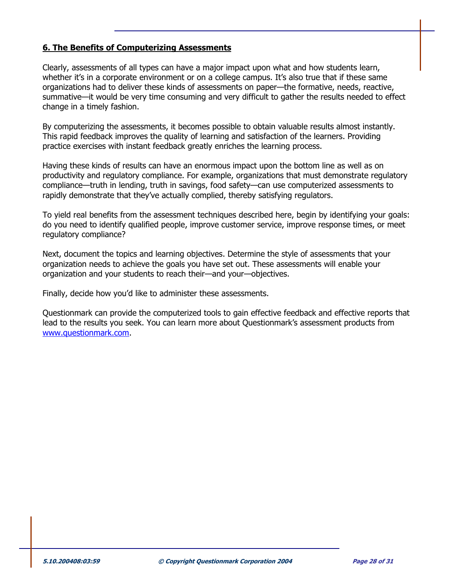#### **6. The Benefits of Computerizing Assessments**

Clearly, assessments of all types can have a major impact upon what and how students learn, whether it's in a corporate environment or on a college campus. It's also true that if these same organizations had to deliver these kinds of assessments on paper—the formative, needs, reactive, summative—it would be very time consuming and very difficult to gather the results needed to effect change in a timely fashion.

By computerizing the assessments, it becomes possible to obtain valuable results almost instantly. This rapid feedback improves the quality of learning and satisfaction of the learners. Providing practice exercises with instant feedback greatly enriches the learning process.

Having these kinds of results can have an enormous impact upon the bottom line as well as on productivity and regulatory compliance. For example, organizations that must demonstrate regulatory compliance—truth in lending, truth in savings, food safety—can use computerized assessments to rapidly demonstrate that they've actually complied, thereby satisfying regulators.

To yield real benefits from the assessment techniques described here, begin by identifying your goals: do you need to identify qualified people, improve customer service, improve response times, or meet regulatory compliance?

Next, document the topics and learning objectives. Determine the style of assessments that your organization needs to achieve the goals you have set out. These assessments will enable your organization and your students to reach their—and your—objectives.

Finally, decide how you'd like to administer these assessments.

Questionmark can provide the computerized tools to gain effective feedback and effective reports that lead to the results you seek. You can learn more about Questionmark's assessment products from www.questionmark.com.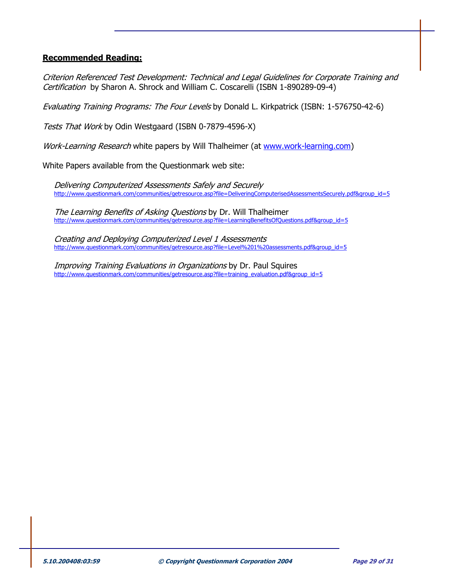# **Recommended Reading:**

Criterion Referenced Test Development: Technical and Legal Guidelines for Corporate Training and Certification by Sharon A. Shrock and William C. Coscarelli (ISBN 1-890289-09-4)

Evaluating Training Programs: The Four Levels by Donald L. Kirkpatrick (ISBN: 1-576750-42-6)

Tests That Work by Odin Westgaard (ISBN 0-7879-4596-X)

Work-Learning Research white papers by Will Thalheimer (at www.work-learning.com)

White Papers available from the Questionmark web site:

Delivering Computerized Assessments Safely and Securely http://www.questionmark.com/communities/getresource.asp?file=DeliveringComputerisedAssessmentsSecurely.pdf&group\_id=5

The Learning Benefits of Asking Questions by Dr. Will Thalheimer http://www.questionmark.com/communities/getresource.asp?file=LearningBenefitsOfQuestions.pdf&group\_id=5

Creating and Deploying Computerized Level 1 Assessments http://www.questionmark.com/communities/getresource.asp?file=Level%201%20assessments.pdf&group\_id=5

Improving Training Evaluations in Organizations by Dr. Paul Squires http://www.questionmark.com/communities/getresource.asp?file=training\_evaluation.pdf&group\_id=5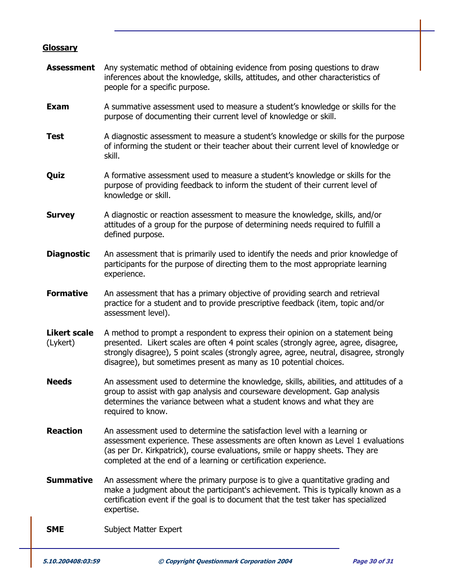# **Glossary**

| <b>Assessment</b>               | Any systematic method of obtaining evidence from posing questions to draw<br>inferences about the knowledge, skills, attitudes, and other characteristics of<br>people for a specific purpose.                                                                                                                                      |  |  |  |
|---------------------------------|-------------------------------------------------------------------------------------------------------------------------------------------------------------------------------------------------------------------------------------------------------------------------------------------------------------------------------------|--|--|--|
| <b>Exam</b>                     | A summative assessment used to measure a student's knowledge or skills for the<br>purpose of documenting their current level of knowledge or skill.                                                                                                                                                                                 |  |  |  |
| <b>Test</b>                     | A diagnostic assessment to measure a student's knowledge or skills for the purpose<br>of informing the student or their teacher about their current level of knowledge or<br>skill.                                                                                                                                                 |  |  |  |
| Quiz                            | A formative assessment used to measure a student's knowledge or skills for the<br>purpose of providing feedback to inform the student of their current level of<br>knowledge or skill.                                                                                                                                              |  |  |  |
| <b>Survey</b>                   | A diagnostic or reaction assessment to measure the knowledge, skills, and/or<br>attitudes of a group for the purpose of determining needs required to fulfill a<br>defined purpose.                                                                                                                                                 |  |  |  |
| <b>Diagnostic</b>               | An assessment that is primarily used to identify the needs and prior knowledge of<br>participants for the purpose of directing them to the most appropriate learning<br>experience.                                                                                                                                                 |  |  |  |
| <b>Formative</b>                | An assessment that has a primary objective of providing search and retrieval<br>practice for a student and to provide prescriptive feedback (item, topic and/or<br>assessment level).                                                                                                                                               |  |  |  |
| <b>Likert scale</b><br>(Lykert) | A method to prompt a respondent to express their opinion on a statement being<br>presented. Likert scales are often 4 point scales (strongly agree, agree, disagree,<br>strongly disagree), 5 point scales (strongly agree, agree, neutral, disagree, strongly<br>disagree), but sometimes present as many as 10 potential choices. |  |  |  |
| <b>Needs</b>                    | An assessment used to determine the knowledge, skills, abilities, and attitudes of a<br>group to assist with gap analysis and courseware development. Gap analysis<br>determines the variance between what a student knows and what they are<br>required to know.                                                                   |  |  |  |
| <b>Reaction</b>                 | An assessment used to determine the satisfaction level with a learning or<br>assessment experience. These assessments are often known as Level 1 evaluations<br>(as per Dr. Kirkpatrick), course evaluations, smile or happy sheets. They are<br>completed at the end of a learning or certification experience.                    |  |  |  |
| <b>Summative</b>                | An assessment where the primary purpose is to give a quantitative grading and<br>make a judgment about the participant's achievement. This is typically known as a<br>certification event if the goal is to document that the test taker has specialized<br>expertise.                                                              |  |  |  |
| <b>SME</b>                      | <b>Subject Matter Expert</b>                                                                                                                                                                                                                                                                                                        |  |  |  |